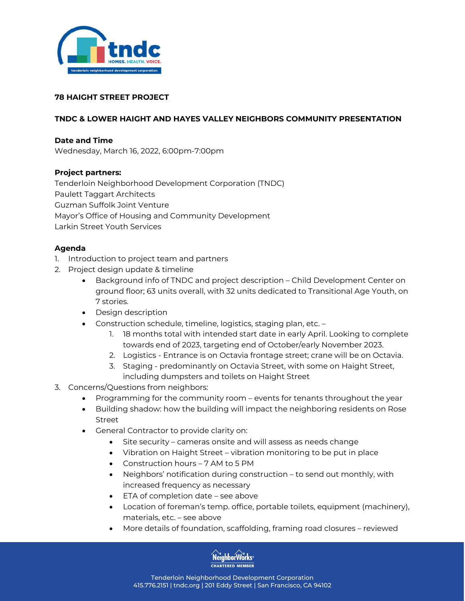

# **78 HAIGHT STREET PROJECT**

# **TNDC & LOWER HAIGHT AND HAYES VALLEY NEIGHBORS COMMUNITY PRESENTATION**

#### **Date and Time**

Wednesday, March 16, 2022, 6:00pm-7:00pm

## **Project partners:**

Tenderloin Neighborhood Development Corporation (TNDC) Paulett Taggart Architects Guzman Suffolk Joint Venture Mayor's Office of Housing and Community Development Larkin Street Youth Services

## **Agenda**

- 1. Introduction to project team and partners
- 2. Project design update & timeline
	- Background info of TNDC and project description Child Development Center on ground floor; 63 units overall, with 32 units dedicated to Transitional Age Youth, on 7 stories.
	- Design description
	- Construction schedule, timeline, logistics, staging plan, etc.
		- 1. 18 months total with intended start date in early April. Looking to complete towards end of 2023, targeting end of October/early November 2023.
		- 2. Logistics Entrance is on Octavia frontage street; crane will be on Octavia.
		- 3. Staging predominantly on Octavia Street, with some on Haight Street, including dumpsters and toilets on Haight Street
- 3. Concerns/Questions from neighbors:
	- Programming for the community room events for tenants throughout the year
	- Building shadow: how the building will impact the neighboring residents on Rose Street
	- General Contractor to provide clarity on:
		- Site security cameras onsite and will assess as needs change
		- Vibration on Haight Street vibration monitoring to be put in place
		- Construction hours 7 AM to 5 PM
		- Neighbors' notification during construction to send out monthly, with increased frequency as necessary
		- ETA of completion date see above
		- Location of foreman's temp. office, portable toilets, equipment (machinery), materials, etc. – see above
		- More details of foundation, scaffolding, framing road closures reviewed



Tenderloin Neighborhood Development Corporation 415.776.2151 | tndc.org | 201 Eddy Street | San Francisco, CA 94102